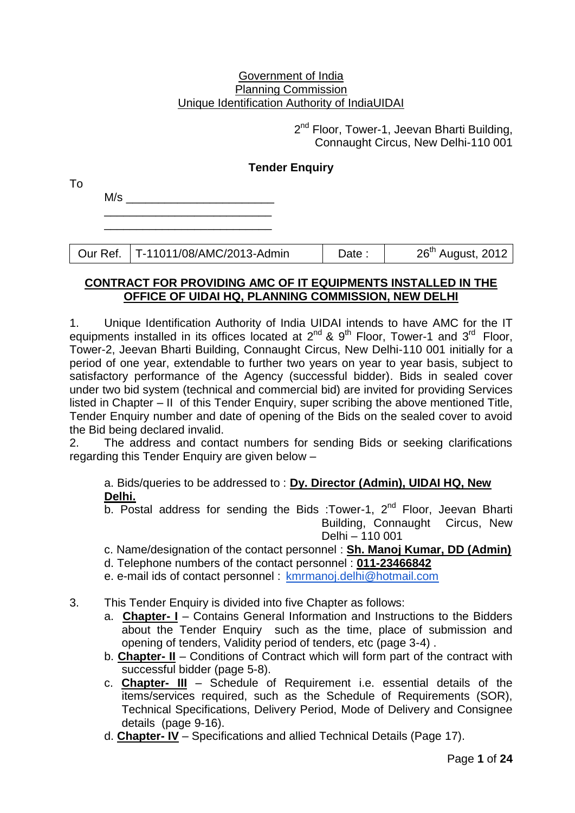#### Government of India Planning Commission Unique Identification Authority of IndiaUIDAI

2<sup>nd</sup> Floor, Tower-1, Jeevan Bharti Building, Connaught Circus, New Delhi-110 001

### **Tender Enquiry**

 $M/s$ \_\_\_\_\_\_\_\_\_\_\_\_\_\_\_\_\_\_\_\_\_\_\_\_\_\_

To

\_\_\_\_\_\_\_\_\_\_\_\_\_\_\_\_\_\_\_\_\_\_\_\_\_\_

Our Ref. | T-11011/08/AMC/2013-Admin | Date : | 26<sup>th</sup> August, 2012

#### **CONTRACT FOR PROVIDING AMC OF IT EQUIPMENTS INSTALLED IN THE OFFICE OF UIDAI HQ, PLANNING COMMISSION, NEW DELHI**

1. Unique Identification Authority of India UIDAI intends to have AMC for the IT equipments installed in its offices located at  $2^{nd}$  &  $9^{th}$  Floor, Tower-1 and  $3^{rd}$  Floor, Tower-2, Jeevan Bharti Building, Connaught Circus, New Delhi-110 001 initially for a period of one year, extendable to further two years on year to year basis, subject to satisfactory performance of the Agency (successful bidder). Bids in sealed cover under two bid system (technical and commercial bid) are invited for providing Services listed in Chapter – II of this Tender Enquiry, super scribing the above mentioned Title, Tender Enquiry number and date of opening of the Bids on the sealed cover to avoid the Bid being declared invalid.

2. The address and contact numbers for sending Bids or seeking clarifications regarding this Tender Enquiry are given below –

a. Bids/queries to be addressed to : **Dy. Director (Admin), UIDAI HQ, New Delhi.**

 $\overline{b}$ . Postal address for sending the Bids :Tower-1, 2<sup>nd</sup> Floor, Jeevan Bharti Building, Connaught Circus, New Delhi – 110 001

## c. Name/designation of the contact personnel : **Sh. Manoj Kumar, DD (Admin)**

- d. Telephone numbers of the contact personnel : **011-23466842**
- e. e-mail ids of contact personnel : [kmrmanoj.delhi@hotmail.com](mailto:kmrmanoj.delhi@hotmail.com)
- 3. This Tender Enquiry is divided into five Chapter as follows:
	- a. **Chapter- I** Contains General Information and Instructions to the Bidders about the Tender Enquiry such as the time, place of submission and opening of tenders, Validity period of tenders, etc (page 3-4) .
	- b. **Chapter- II** Conditions of Contract which will form part of the contract with successful bidder (page 5-8).
	- c. **Chapter- III** Schedule of Requirement i.e. essential details of the items/services required, such as the Schedule of Requirements (SOR), Technical Specifications, Delivery Period, Mode of Delivery and Consignee details (page 9-16).
	- d. **Chapter- IV** Specifications and allied Technical Details (Page 17).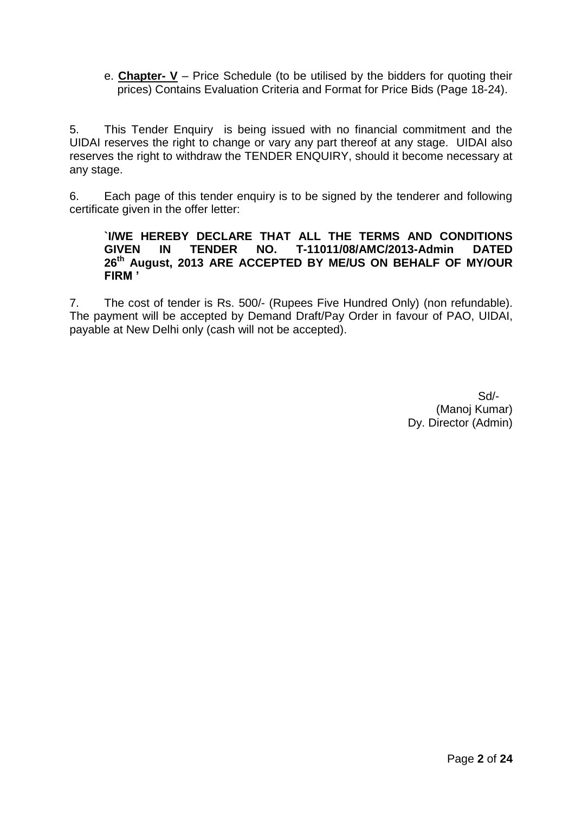e. **Chapter- V** – Price Schedule (to be utilised by the bidders for quoting their prices) Contains Evaluation Criteria and Format for Price Bids (Page 18-24).

5. This Tender Enquiry is being issued with no financial commitment and the UIDAI reserves the right to change or vary any part thereof at any stage. UIDAI also reserves the right to withdraw the TENDER ENQUIRY, should it become necessary at any stage.

6. Each page of this tender enquiry is to be signed by the tenderer and following certificate given in the offer letter:

#### **`I/WE HEREBY DECLARE THAT ALL THE TERMS AND CONDITIONS GIVEN IN TENDER NO. T-11011/08/AMC/2013-Admin DATED 26th August, 2013 ARE ACCEPTED BY ME/US ON BEHALF OF MY/OUR FIRM '**

7. The cost of tender is Rs. 500/- (Rupees Five Hundred Only) (non refundable). The payment will be accepted by Demand Draft/Pay Order in favour of PAO, UIDAI, payable at New Delhi only (cash will not be accepted).

> Sd/- (Manoj Kumar) Dy. Director (Admin)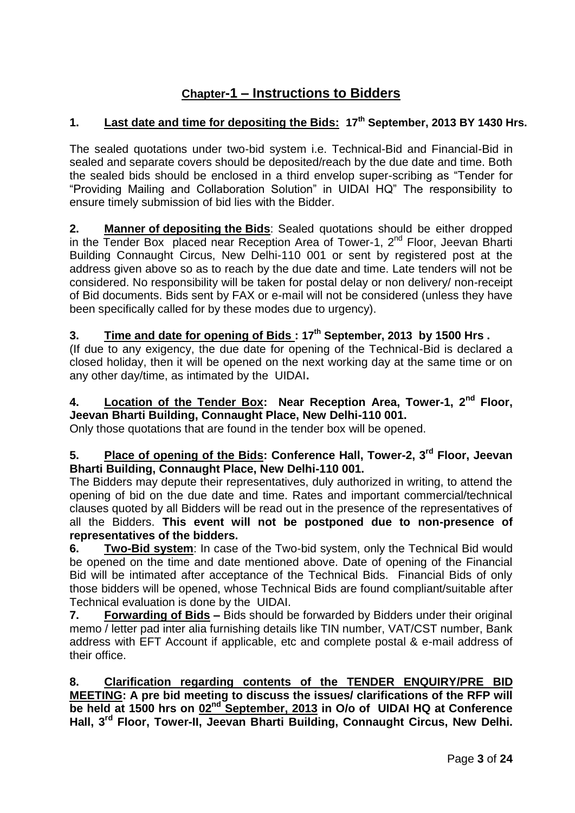# **Chapter-1 – Instructions to Bidders**

## **1. Last date and time for depositing the Bids: 17th September, 2013 BY 1430 Hrs.**

The sealed quotations under two-bid system i.e. Technical-Bid and Financial-Bid in sealed and separate covers should be deposited/reach by the due date and time. Both the sealed bids should be enclosed in a third envelop super-scribing as "Tender for "Providing Mailing and Collaboration Solution" in UIDAI HQ" The responsibility to ensure timely submission of bid lies with the Bidder.

**2. Manner of depositing the Bids**: Sealed quotations should be either dropped in the Tender Box placed near Reception Area of Tower-1, 2<sup>nd</sup> Floor, Jeevan Bharti Building Connaught Circus, New Delhi-110 001 or sent by registered post at the address given above so as to reach by the due date and time. Late tenders will not be considered. No responsibility will be taken for postal delay or non delivery/ non-receipt of Bid documents. Bids sent by FAX or e-mail will not be considered (unless they have been specifically called for by these modes due to urgency).

## **3. Time and date for opening of Bids : 17th September, 2013 by 1500 Hrs .**

(If due to any exigency, the due date for opening of the Technical-Bid is declared a closed holiday, then it will be opened on the next working day at the same time or on any other day/time, as intimated by the UIDAI**.** 

## **4. Location of the Tender Box: Near Reception Area, Tower-1, 2nd Floor, Jeevan Bharti Building, Connaught Place, New Delhi-110 001.**

Only those quotations that are found in the tender box will be opened.

### **5. Place of opening of the Bids: Conference Hall, Tower-2, 3rd Floor, Jeevan Bharti Building, Connaught Place, New Delhi-110 001.**

The Bidders may depute their representatives, duly authorized in writing, to attend the opening of bid on the due date and time. Rates and important commercial/technical clauses quoted by all Bidders will be read out in the presence of the representatives of all the Bidders. **This event will not be postponed due to non-presence of representatives of the bidders.**

**6. Two-Bid system**: In case of the Two-bid system, only the Technical Bid would be opened on the time and date mentioned above. Date of opening of the Financial Bid will be intimated after acceptance of the Technical Bids. Financial Bids of only those bidders will be opened, whose Technical Bids are found compliant/suitable after Technical evaluation is done by the UIDAI.

**7. Forwarding of Bids –** Bids should be forwarded by Bidders under their original memo / letter pad inter alia furnishing details like TIN number, VAT/CST number, Bank address with EFT Account if applicable, etc and complete postal & e-mail address of their office.

**8. Clarification regarding contents of the TENDER ENQUIRY/PRE BID MEETING: A pre bid meeting to discuss the issues/ clarifications of the RFP will be held at 1500 hrs on 02nd September, 2013 in O/o of UIDAI HQ at Conference Hall, 3rd Floor, Tower-II, Jeevan Bharti Building, Connaught Circus, New Delhi.**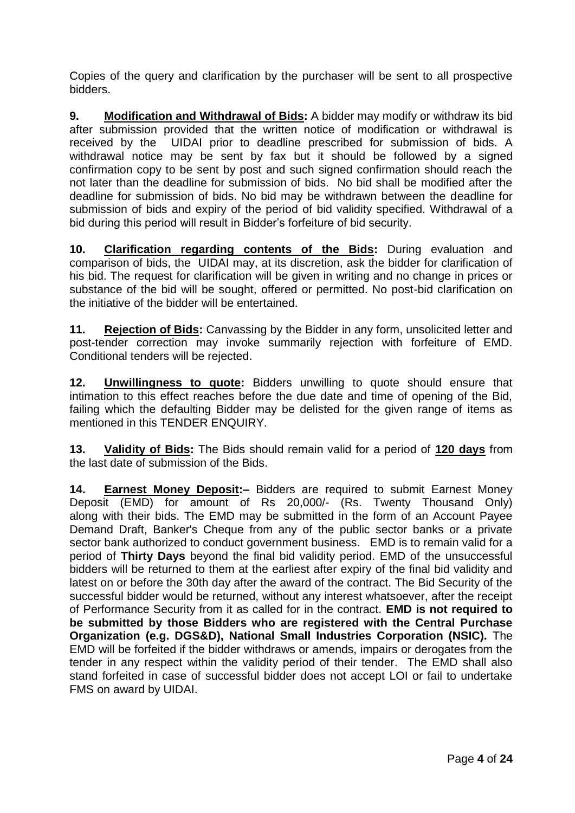Copies of the query and clarification by the purchaser will be sent to all prospective bidders.

**9. Modification and Withdrawal of Bids:** A bidder may modify or withdraw its bid after submission provided that the written notice of modification or withdrawal is received by the UIDAI prior to deadline prescribed for submission of bids. A withdrawal notice may be sent by fax but it should be followed by a signed confirmation copy to be sent by post and such signed confirmation should reach the not later than the deadline for submission of bids. No bid shall be modified after the deadline for submission of bids. No bid may be withdrawn between the deadline for submission of bids and expiry of the period of bid validity specified. Withdrawal of a bid during this period will result in Bidder's forfeiture of bid security.

**10. Clarification regarding contents of the Bids:** During evaluation and comparison of bids, the UIDAI may, at its discretion, ask the bidder for clarification of his bid. The request for clarification will be given in writing and no change in prices or substance of the bid will be sought, offered or permitted. No post-bid clarification on the initiative of the bidder will be entertained.

**11. Rejection of Bids:** Canvassing by the Bidder in any form, unsolicited letter and post-tender correction may invoke summarily rejection with forfeiture of EMD. Conditional tenders will be rejected.

**12. Unwillingness to quote:** Bidders unwilling to quote should ensure that intimation to this effect reaches before the due date and time of opening of the Bid, failing which the defaulting Bidder may be delisted for the given range of items as mentioned in this TENDER ENQUIRY.

**13. Validity of Bids:** The Bids should remain valid for a period of **120 days** from the last date of submission of the Bids.

**14. Earnest Money Deposit:–** Bidders are required to submit Earnest Money Deposit (EMD) for amount of Rs 20,000/- (Rs. Twenty Thousand Only) along with their bids. The EMD may be submitted in the form of an Account Payee Demand Draft, Banker's Cheque from any of the public sector banks or a private sector bank authorized to conduct government business. EMD is to remain valid for a period of **Thirty Days** beyond the final bid validity period. EMD of the unsuccessful bidders will be returned to them at the earliest after expiry of the final bid validity and latest on or before the 30th day after the award of the contract. The Bid Security of the successful bidder would be returned, without any interest whatsoever, after the receipt of Performance Security from it as called for in the contract. **EMD is not required to be submitted by those Bidders who are registered with the Central Purchase Organization (e.g. DGS&D), National Small Industries Corporation (NSIC).** The EMD will be forfeited if the bidder withdraws or amends, impairs or derogates from the tender in any respect within the validity period of their tender. The EMD shall also stand forfeited in case of successful bidder does not accept LOI or fail to undertake FMS on award by UIDAI.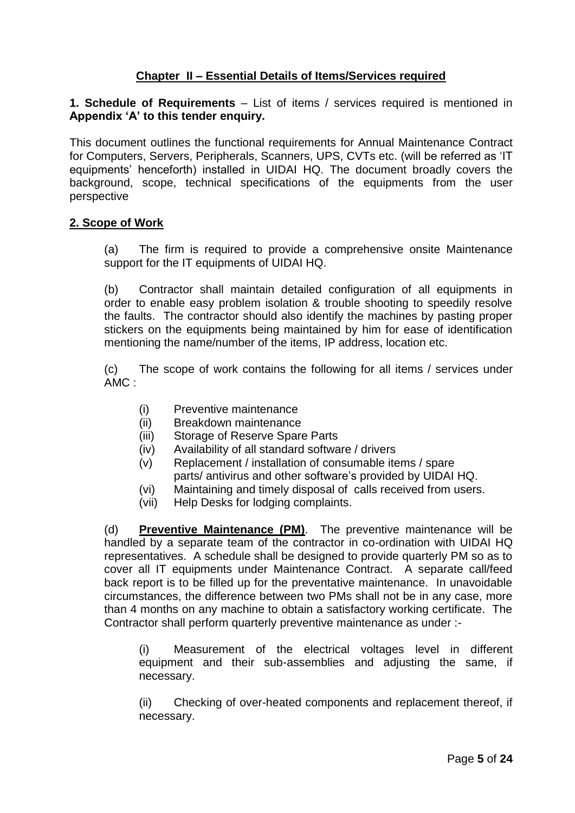### **Chapter II – Essential Details of Items/Services required**

**1. Schedule of Requirements** – List of items / services required is mentioned in **Appendix 'A' to this tender enquiry.** 

This document outlines the functional requirements for Annual Maintenance Contract for Computers, Servers, Peripherals, Scanners, UPS, CVTs etc. (will be referred as 'IT equipments' henceforth) installed in UIDAI HQ. The document broadly covers the background, scope, technical specifications of the equipments from the user perspective

#### **2. Scope of Work**

(a) The firm is required to provide a comprehensive onsite Maintenance support for the IT equipments of UIDAI HQ.

(b) Contractor shall maintain detailed configuration of all equipments in order to enable easy problem isolation & trouble shooting to speedily resolve the faults. The contractor should also identify the machines by pasting proper stickers on the equipments being maintained by him for ease of identification mentioning the name/number of the items, IP address, location etc.

(c) The scope of work contains the following for all items / services under AMC :

- (i) Preventive maintenance
- (ii) Breakdown maintenance
- (iii) Storage of Reserve Spare Parts
- (iv) Availability of all standard software / drivers
- (v) Replacement / installation of consumable items / spare parts/ antivirus and other software's provided by UIDAI HQ.
- (vi) Maintaining and timely disposal of calls received from users.
- (vii) Help Desks for lodging complaints.

(d) **Preventive Maintenance (PM)**. The preventive maintenance will be handled by a separate team of the contractor in co-ordination with UIDAI HQ representatives. A schedule shall be designed to provide quarterly PM so as to cover all IT equipments under Maintenance Contract. A separate call/feed back report is to be filled up for the preventative maintenance. In unavoidable circumstances, the difference between two PMs shall not be in any case, more than 4 months on any machine to obtain a satisfactory working certificate. The Contractor shall perform quarterly preventive maintenance as under :-

(i) Measurement of the electrical voltages level in different equipment and their sub-assemblies and adjusting the same, if necessary.

(ii) Checking of over-heated components and replacement thereof, if necessary.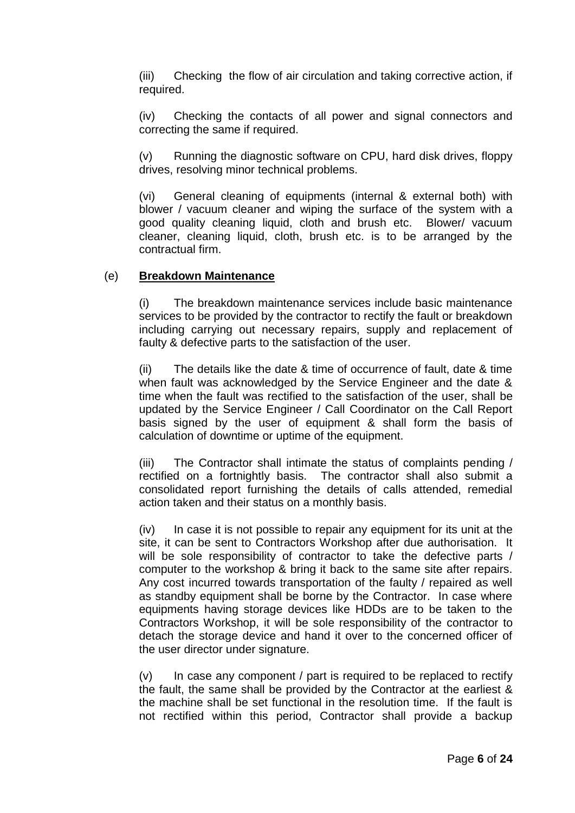(iii) Checking the flow of air circulation and taking corrective action, if required.

(iv) Checking the contacts of all power and signal connectors and correcting the same if required.

(v) Running the diagnostic software on CPU, hard disk drives, floppy drives, resolving minor technical problems.

(vi) General cleaning of equipments (internal & external both) with blower / vacuum cleaner and wiping the surface of the system with a good quality cleaning liquid, cloth and brush etc. Blower/ vacuum cleaner, cleaning liquid, cloth, brush etc. is to be arranged by the contractual firm.

#### (e) **Breakdown Maintenance**

(i) The breakdown maintenance services include basic maintenance services to be provided by the contractor to rectify the fault or breakdown including carrying out necessary repairs, supply and replacement of faulty & defective parts to the satisfaction of the user.

(ii) The details like the date & time of occurrence of fault, date & time when fault was acknowledged by the Service Engineer and the date & time when the fault was rectified to the satisfaction of the user, shall be updated by the Service Engineer / Call Coordinator on the Call Report basis signed by the user of equipment & shall form the basis of calculation of downtime or uptime of the equipment.

(iii) The Contractor shall intimate the status of complaints pending / rectified on a fortnightly basis. The contractor shall also submit a consolidated report furnishing the details of calls attended, remedial action taken and their status on a monthly basis.

(iv) In case it is not possible to repair any equipment for its unit at the site, it can be sent to Contractors Workshop after due authorisation. It will be sole responsibility of contractor to take the defective parts / computer to the workshop & bring it back to the same site after repairs. Any cost incurred towards transportation of the faulty / repaired as well as standby equipment shall be borne by the Contractor. In case where equipments having storage devices like HDDs are to be taken to the Contractors Workshop, it will be sole responsibility of the contractor to detach the storage device and hand it over to the concerned officer of the user director under signature.

 $(v)$  In case any component / part is required to be replaced to rectify the fault, the same shall be provided by the Contractor at the earliest & the machine shall be set functional in the resolution time. If the fault is not rectified within this period, Contractor shall provide a backup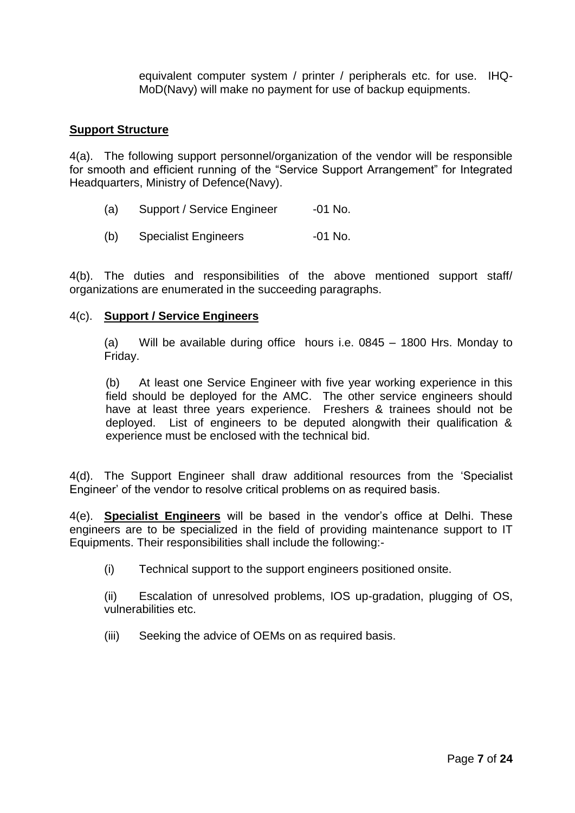equivalent computer system / printer / peripherals etc. for use. IHQ-MoD(Navy) will make no payment for use of backup equipments.

#### **Support Structure**

4(a). The following support personnel/organization of the vendor will be responsible for smooth and efficient running of the "Service Support Arrangement" for Integrated Headquarters, Ministry of Defence(Navy).

- (a) Support / Service Engineer -01 No.
- (b) Specialist Engineers -01 No.

4(b). The duties and responsibilities of the above mentioned support staff/ organizations are enumerated in the succeeding paragraphs.

#### 4(c). **Support / Service Engineers**

(a) Will be available during office hours i.e. 0845 – 1800 Hrs. Monday to Friday.

(b) At least one Service Engineer with five year working experience in this field should be deployed for the AMC. The other service engineers should have at least three years experience. Freshers & trainees should not be deployed. List of engineers to be deputed alongwith their qualification & experience must be enclosed with the technical bid.

4(d). The Support Engineer shall draw additional resources from the 'Specialist Engineer' of the vendor to resolve critical problems on as required basis.

4(e). **Specialist Engineers** will be based in the vendor's office at Delhi. These engineers are to be specialized in the field of providing maintenance support to IT Equipments. Their responsibilities shall include the following:-

(i) Technical support to the support engineers positioned onsite.

(ii) Escalation of unresolved problems, IOS up-gradation, plugging of OS, vulnerabilities etc.

(iii) Seeking the advice of OEMs on as required basis.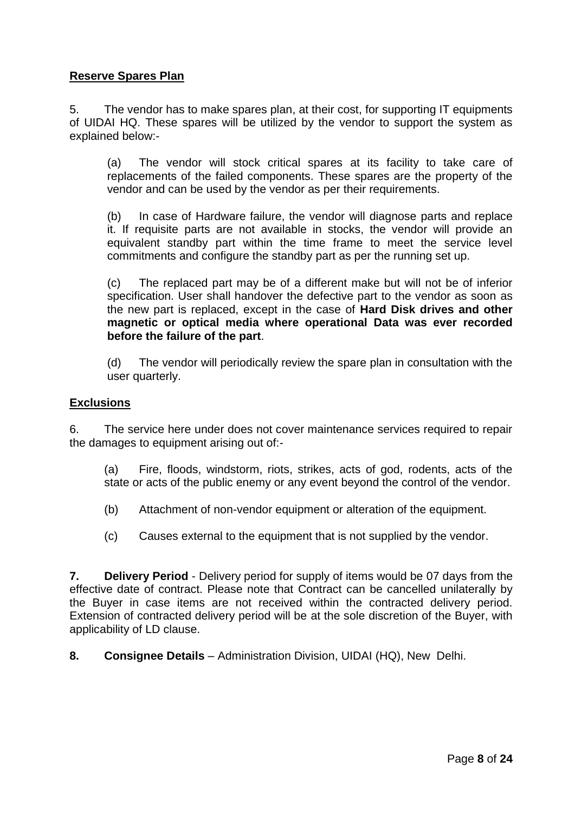### **Reserve Spares Plan**

5. The vendor has to make spares plan, at their cost, for supporting IT equipments of UIDAI HQ. These spares will be utilized by the vendor to support the system as explained below:-

(a) The vendor will stock critical spares at its facility to take care of replacements of the failed components. These spares are the property of the vendor and can be used by the vendor as per their requirements.

(b) In case of Hardware failure, the vendor will diagnose parts and replace it. If requisite parts are not available in stocks, the vendor will provide an equivalent standby part within the time frame to meet the service level commitments and configure the standby part as per the running set up.

(c) The replaced part may be of a different make but will not be of inferior specification. User shall handover the defective part to the vendor as soon as the new part is replaced, except in the case of **Hard Disk drives and other magnetic or optical media where operational Data was ever recorded before the failure of the part**.

(d) The vendor will periodically review the spare plan in consultation with the user quarterly.

#### **Exclusions**

6. The service here under does not cover maintenance services required to repair the damages to equipment arising out of:-

(a) Fire, floods, windstorm, riots, strikes, acts of god, rodents, acts of the state or acts of the public enemy or any event beyond the control of the vendor.

(b) Attachment of non-vendor equipment or alteration of the equipment.

(c) Causes external to the equipment that is not supplied by the vendor.

**7. Delivery Period** - Delivery period for supply of items would be 07 days from the effective date of contract. Please note that Contract can be cancelled unilaterally by the Buyer in case items are not received within the contracted delivery period. Extension of contracted delivery period will be at the sole discretion of the Buyer, with applicability of LD clause.

**8. Consignee Details** – Administration Division, UIDAI (HQ), New Delhi.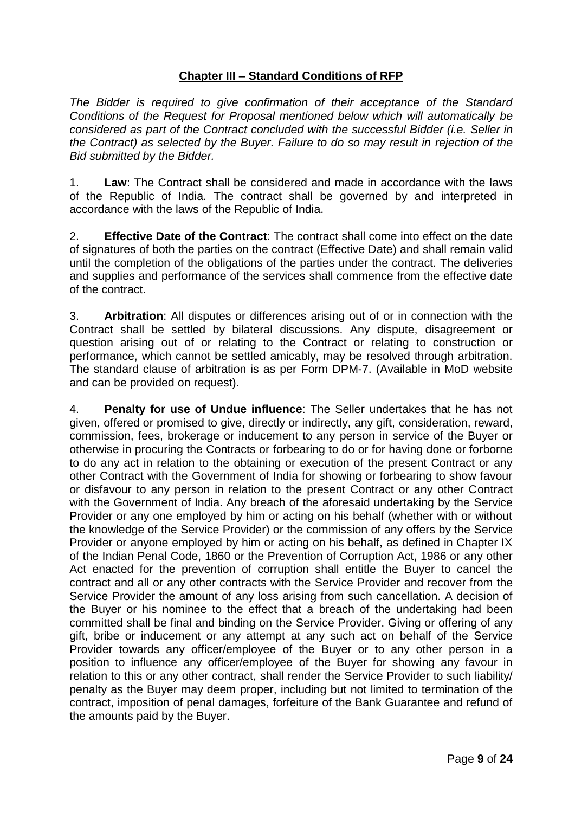## **Chapter III – Standard Conditions of RFP**

*The Bidder is required to give confirmation of their acceptance of the Standard Conditions of the Request for Proposal mentioned below which will automatically be considered as part of the Contract concluded with the successful Bidder (i.e. Seller in the Contract) as selected by the Buyer. Failure to do so may result in rejection of the Bid submitted by the Bidder.*

1. **Law**: The Contract shall be considered and made in accordance with the laws of the Republic of India. The contract shall be governed by and interpreted in accordance with the laws of the Republic of India.

2. **Effective Date of the Contract**: The contract shall come into effect on the date of signatures of both the parties on the contract (Effective Date) and shall remain valid until the completion of the obligations of the parties under the contract. The deliveries and supplies and performance of the services shall commence from the effective date of the contract.

3. **Arbitration**: All disputes or differences arising out of or in connection with the Contract shall be settled by bilateral discussions. Any dispute, disagreement or question arising out of or relating to the Contract or relating to construction or performance, which cannot be settled amicably, may be resolved through arbitration. The standard clause of arbitration is as per Form DPM-7. (Available in MoD website and can be provided on request).

4. **Penalty for use of Undue influence**: The Seller undertakes that he has not given, offered or promised to give, directly or indirectly, any gift, consideration, reward, commission, fees, brokerage or inducement to any person in service of the Buyer or otherwise in procuring the Contracts or forbearing to do or for having done or forborne to do any act in relation to the obtaining or execution of the present Contract or any other Contract with the Government of India for showing or forbearing to show favour or disfavour to any person in relation to the present Contract or any other Contract with the Government of India. Any breach of the aforesaid undertaking by the Service Provider or any one employed by him or acting on his behalf (whether with or without the knowledge of the Service Provider) or the commission of any offers by the Service Provider or anyone employed by him or acting on his behalf, as defined in Chapter IX of the Indian Penal Code, 1860 or the Prevention of Corruption Act, 1986 or any other Act enacted for the prevention of corruption shall entitle the Buyer to cancel the contract and all or any other contracts with the Service Provider and recover from the Service Provider the amount of any loss arising from such cancellation. A decision of the Buyer or his nominee to the effect that a breach of the undertaking had been committed shall be final and binding on the Service Provider. Giving or offering of any gift, bribe or inducement or any attempt at any such act on behalf of the Service Provider towards any officer/employee of the Buyer or to any other person in a position to influence any officer/employee of the Buyer for showing any favour in relation to this or any other contract, shall render the Service Provider to such liability/ penalty as the Buyer may deem proper, including but not limited to termination of the contract, imposition of penal damages, forfeiture of the Bank Guarantee and refund of the amounts paid by the Buyer.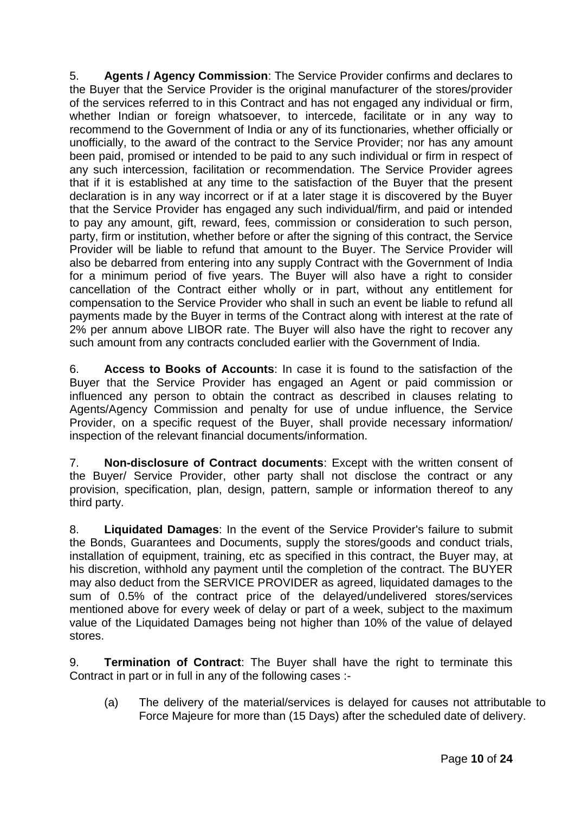5. **Agents / Agency Commission**: The Service Provider confirms and declares to the Buyer that the Service Provider is the original manufacturer of the stores/provider of the services referred to in this Contract and has not engaged any individual or firm, whether Indian or foreign whatsoever, to intercede, facilitate or in any way to recommend to the Government of India or any of its functionaries, whether officially or unofficially, to the award of the contract to the Service Provider; nor has any amount been paid, promised or intended to be paid to any such individual or firm in respect of any such intercession, facilitation or recommendation. The Service Provider agrees that if it is established at any time to the satisfaction of the Buyer that the present declaration is in any way incorrect or if at a later stage it is discovered by the Buyer that the Service Provider has engaged any such individual/firm, and paid or intended to pay any amount, gift, reward, fees, commission or consideration to such person, party, firm or institution, whether before or after the signing of this contract, the Service Provider will be liable to refund that amount to the Buyer. The Service Provider will also be debarred from entering into any supply Contract with the Government of India for a minimum period of five years. The Buyer will also have a right to consider cancellation of the Contract either wholly or in part, without any entitlement for compensation to the Service Provider who shall in such an event be liable to refund all payments made by the Buyer in terms of the Contract along with interest at the rate of 2% per annum above LIBOR rate. The Buyer will also have the right to recover any such amount from any contracts concluded earlier with the Government of India.

6. **Access to Books of Accounts**: In case it is found to the satisfaction of the Buyer that the Service Provider has engaged an Agent or paid commission or influenced any person to obtain the contract as described in clauses relating to Agents/Agency Commission and penalty for use of undue influence, the Service Provider, on a specific request of the Buyer, shall provide necessary information/ inspection of the relevant financial documents/information.

7. **Non-disclosure of Contract documents**: Except with the written consent of the Buyer/ Service Provider, other party shall not disclose the contract or any provision, specification, plan, design, pattern, sample or information thereof to any third party.

8. **Liquidated Damages**: In the event of the Service Provider's failure to submit the Bonds, Guarantees and Documents, supply the stores/goods and conduct trials, installation of equipment, training, etc as specified in this contract, the Buyer may, at his discretion, withhold any payment until the completion of the contract. The BUYER may also deduct from the SERVICE PROVIDER as agreed, liquidated damages to the sum of 0.5% of the contract price of the delayed/undelivered stores/services mentioned above for every week of delay or part of a week, subject to the maximum value of the Liquidated Damages being not higher than 10% of the value of delayed stores.

9. **Termination of Contract**: The Buyer shall have the right to terminate this Contract in part or in full in any of the following cases :-

(a) The delivery of the material/services is delayed for causes not attributable to Force Majeure for more than (15 Days) after the scheduled date of delivery.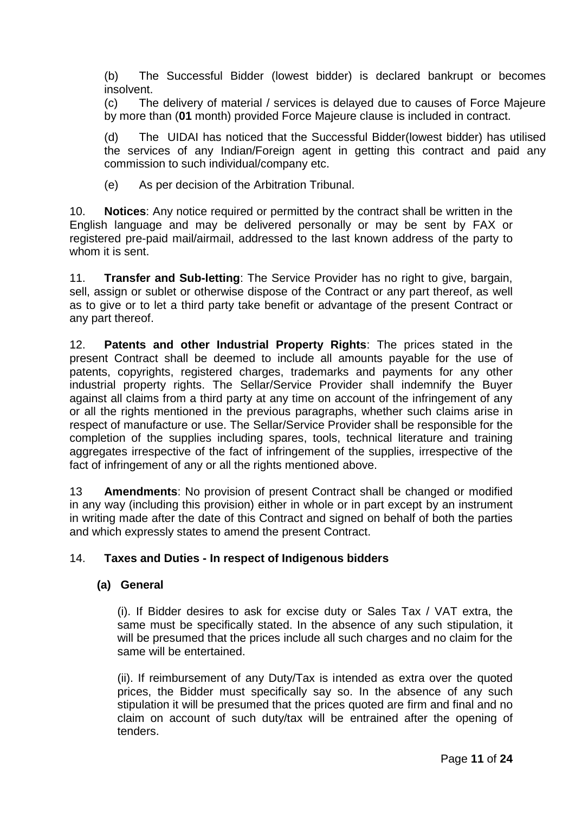(b) The Successful Bidder (lowest bidder) is declared bankrupt or becomes insolvent.

(c) The delivery of material / services is delayed due to causes of Force Majeure by more than (**01** month) provided Force Majeure clause is included in contract.

(d) The UIDAI has noticed that the Successful Bidder(lowest bidder) has utilised the services of any Indian/Foreign agent in getting this contract and paid any commission to such individual/company etc.

(e) As per decision of the Arbitration Tribunal.

10. **Notices**: Any notice required or permitted by the contract shall be written in the English language and may be delivered personally or may be sent by FAX or registered pre-paid mail/airmail, addressed to the last known address of the party to whom it is sent.

11. **Transfer and Sub-letting**: The Service Provider has no right to give, bargain, sell, assign or sublet or otherwise dispose of the Contract or any part thereof, as well as to give or to let a third party take benefit or advantage of the present Contract or any part thereof.

12. **Patents and other Industrial Property Rights**: The prices stated in the present Contract shall be deemed to include all amounts payable for the use of patents, copyrights, registered charges, trademarks and payments for any other industrial property rights. The Sellar/Service Provider shall indemnify the Buyer against all claims from a third party at any time on account of the infringement of any or all the rights mentioned in the previous paragraphs, whether such claims arise in respect of manufacture or use. The Sellar/Service Provider shall be responsible for the completion of the supplies including spares, tools, technical literature and training aggregates irrespective of the fact of infringement of the supplies, irrespective of the fact of infringement of any or all the rights mentioned above.

13 **Amendments**: No provision of present Contract shall be changed or modified in any way (including this provision) either in whole or in part except by an instrument in writing made after the date of this Contract and signed on behalf of both the parties and which expressly states to amend the present Contract.

## 14. **Taxes and Duties - In respect of Indigenous bidders**

#### **(a) General**

(i). If Bidder desires to ask for excise duty or Sales Tax / VAT extra, the same must be specifically stated. In the absence of any such stipulation, it will be presumed that the prices include all such charges and no claim for the same will be entertained.

(ii). If reimbursement of any Duty/Tax is intended as extra over the quoted prices, the Bidder must specifically say so. In the absence of any such stipulation it will be presumed that the prices quoted are firm and final and no claim on account of such duty/tax will be entrained after the opening of tenders.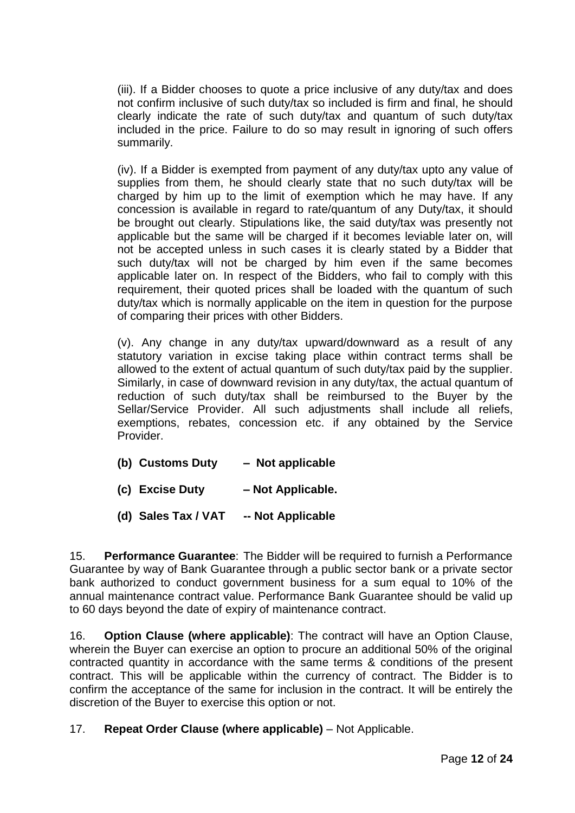(iii). If a Bidder chooses to quote a price inclusive of any duty/tax and does not confirm inclusive of such duty/tax so included is firm and final, he should clearly indicate the rate of such duty/tax and quantum of such duty/tax included in the price. Failure to do so may result in ignoring of such offers summarily.

(iv). If a Bidder is exempted from payment of any duty/tax upto any value of supplies from them, he should clearly state that no such duty/tax will be charged by him up to the limit of exemption which he may have. If any concession is available in regard to rate/quantum of any Duty/tax, it should be brought out clearly. Stipulations like, the said duty/tax was presently not applicable but the same will be charged if it becomes leviable later on, will not be accepted unless in such cases it is clearly stated by a Bidder that such duty/tax will not be charged by him even if the same becomes applicable later on. In respect of the Bidders, who fail to comply with this requirement, their quoted prices shall be loaded with the quantum of such duty/tax which is normally applicable on the item in question for the purpose of comparing their prices with other Bidders.

(v). Any change in any duty/tax upward/downward as a result of any statutory variation in excise taking place within contract terms shall be allowed to the extent of actual quantum of such duty/tax paid by the supplier. Similarly, in case of downward revision in any duty/tax, the actual quantum of reduction of such duty/tax shall be reimbursed to the Buyer by the Sellar/Service Provider. All such adjustments shall include all reliefs, exemptions, rebates, concession etc. if any obtained by the Service Provider.

- **(b) Customs Duty Not applicable**
- **(c) Excise Duty – Not Applicable.**
- **(d) Sales Tax / VAT -- Not Applicable**

15. **Performance Guarantee**: The Bidder will be required to furnish a Performance Guarantee by way of Bank Guarantee through a public sector bank or a private sector bank authorized to conduct government business for a sum equal to 10% of the annual maintenance contract value. Performance Bank Guarantee should be valid up to 60 days beyond the date of expiry of maintenance contract.

16. **Option Clause (where applicable)**: The contract will have an Option Clause, wherein the Buyer can exercise an option to procure an additional 50% of the original contracted quantity in accordance with the same terms & conditions of the present contract. This will be applicable within the currency of contract. The Bidder is to confirm the acceptance of the same for inclusion in the contract. It will be entirely the discretion of the Buyer to exercise this option or not.

## 17. **Repeat Order Clause (where applicable)** – Not Applicable.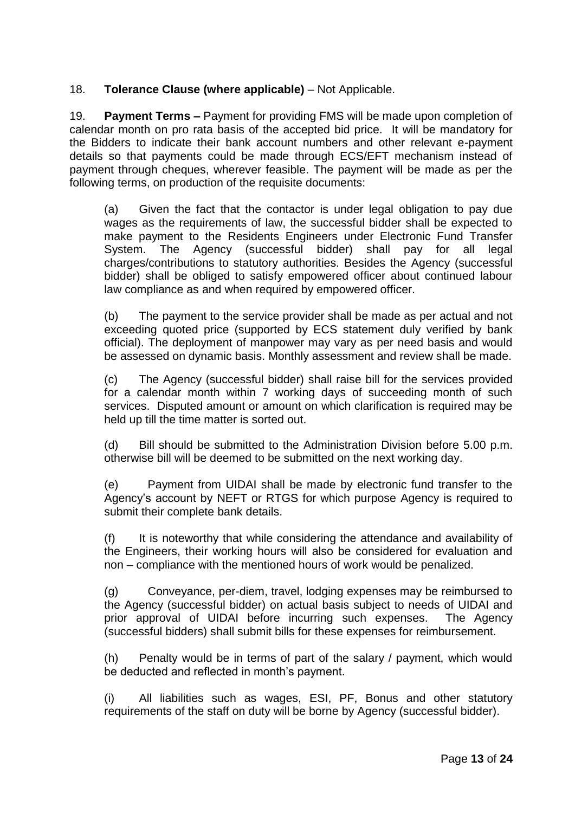### 18. **Tolerance Clause (where applicable)** – Not Applicable.

19. **Payment Terms –** Payment for providing FMS will be made upon completion of calendar month on pro rata basis of the accepted bid price. It will be mandatory for the Bidders to indicate their bank account numbers and other relevant e-payment details so that payments could be made through ECS/EFT mechanism instead of payment through cheques, wherever feasible. The payment will be made as per the following terms, on production of the requisite documents:

(a) Given the fact that the contactor is under legal obligation to pay due wages as the requirements of law, the successful bidder shall be expected to make payment to the Residents Engineers under Electronic Fund Transfer System. The Agency (successful bidder) shall pay for all legal charges/contributions to statutory authorities. Besides the Agency (successful bidder) shall be obliged to satisfy empowered officer about continued labour law compliance as and when required by empowered officer.

(b) The payment to the service provider shall be made as per actual and not exceeding quoted price (supported by ECS statement duly verified by bank official). The deployment of manpower may vary as per need basis and would be assessed on dynamic basis. Monthly assessment and review shall be made.

(c) The Agency (successful bidder) shall raise bill for the services provided for a calendar month within 7 working days of succeeding month of such services. Disputed amount or amount on which clarification is required may be held up till the time matter is sorted out.

(d) Bill should be submitted to the Administration Division before 5.00 p.m. otherwise bill will be deemed to be submitted on the next working day.

(e) Payment from UIDAI shall be made by electronic fund transfer to the Agency's account by NEFT or RTGS for which purpose Agency is required to submit their complete bank details.

It is noteworthy that while considering the attendance and availability of the Engineers, their working hours will also be considered for evaluation and non – compliance with the mentioned hours of work would be penalized.

(g) Conveyance, per-diem, travel, lodging expenses may be reimbursed to the Agency (successful bidder) on actual basis subject to needs of UIDAI and prior approval of UIDAI before incurring such expenses. The Agency (successful bidders) shall submit bills for these expenses for reimbursement.

(h) Penalty would be in terms of part of the salary / payment, which would be deducted and reflected in month's payment.

(i) All liabilities such as wages, ESI, PF, Bonus and other statutory requirements of the staff on duty will be borne by Agency (successful bidder).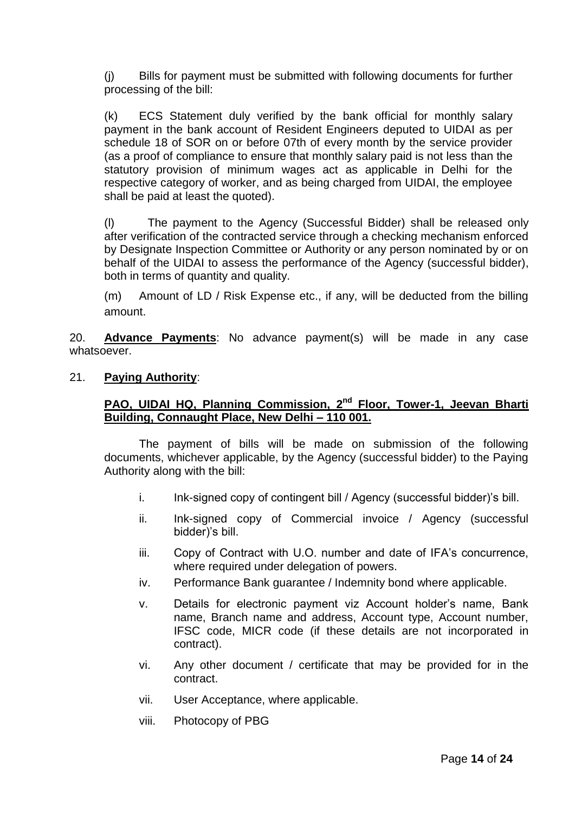(j) Bills for payment must be submitted with following documents for further processing of the bill:

(k) ECS Statement duly verified by the bank official for monthly salary payment in the bank account of Resident Engineers deputed to UIDAI as per schedule 18 of SOR on or before 07th of every month by the service provider (as a proof of compliance to ensure that monthly salary paid is not less than the statutory provision of minimum wages act as applicable in Delhi for the respective category of worker, and as being charged from UIDAI, the employee shall be paid at least the quoted).

(l) The payment to the Agency (Successful Bidder) shall be released only after verification of the contracted service through a checking mechanism enforced by Designate Inspection Committee or Authority or any person nominated by or on behalf of the UIDAI to assess the performance of the Agency (successful bidder), both in terms of quantity and quality.

(m) Amount of LD / Risk Expense etc., if any, will be deducted from the billing amount.

20. **Advance Payments**: No advance payment(s) will be made in any case whatsoever.

21. **Paying Authority**:

### **PAO, UIDAI HQ, Planning Commission, 2nd Floor, Tower-1, Jeevan Bharti Building, Connaught Place, New Delhi – 110 001.**

The payment of bills will be made on submission of the following documents, whichever applicable, by the Agency (successful bidder) to the Paying Authority along with the bill:

- i. Ink-signed copy of contingent bill / Agency (successful bidder)'s bill.
- ii. Ink-signed copy of Commercial invoice / Agency (successful bidder)'s bill.
- iii. Copy of Contract with U.O. number and date of IFA's concurrence, where required under delegation of powers.
- iv. Performance Bank guarantee / Indemnity bond where applicable.
- v. Details for electronic payment viz Account holder's name, Bank name, Branch name and address, Account type, Account number, IFSC code, MICR code (if these details are not incorporated in contract).
- vi. Any other document / certificate that may be provided for in the contract.
- vii. User Acceptance, where applicable.
- viii. Photocopy of PBG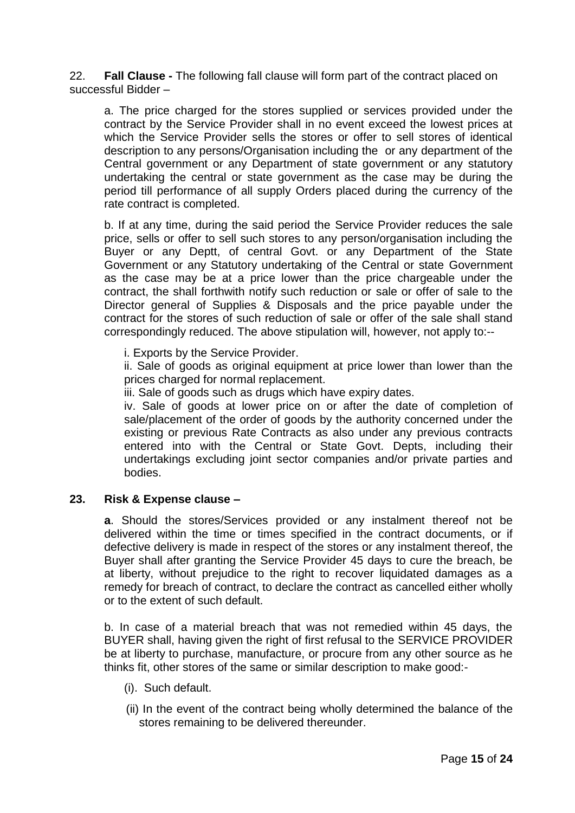22. **Fall Clause -** The following fall clause will form part of the contract placed on successful Bidder –

a. The price charged for the stores supplied or services provided under the contract by the Service Provider shall in no event exceed the lowest prices at which the Service Provider sells the stores or offer to sell stores of identical description to any persons/Organisation including the or any department of the Central government or any Department of state government or any statutory undertaking the central or state government as the case may be during the period till performance of all supply Orders placed during the currency of the rate contract is completed.

b. If at any time, during the said period the Service Provider reduces the sale price, sells or offer to sell such stores to any person/organisation including the Buyer or any Deptt, of central Govt. or any Department of the State Government or any Statutory undertaking of the Central or state Government as the case may be at a price lower than the price chargeable under the contract, the shall forthwith notify such reduction or sale or offer of sale to the Director general of Supplies & Disposals and the price payable under the contract for the stores of such reduction of sale or offer of the sale shall stand correspondingly reduced. The above stipulation will, however, not apply to:--

i. Exports by the Service Provider.

ii. Sale of goods as original equipment at price lower than lower than the prices charged for normal replacement.

iii. Sale of goods such as drugs which have expiry dates.

iv. Sale of goods at lower price on or after the date of completion of sale/placement of the order of goods by the authority concerned under the existing or previous Rate Contracts as also under any previous contracts entered into with the Central or State Govt. Depts, including their undertakings excluding joint sector companies and/or private parties and bodies.

#### **23. Risk & Expense clause –**

**a**. Should the stores/Services provided or any instalment thereof not be delivered within the time or times specified in the contract documents, or if defective delivery is made in respect of the stores or any instalment thereof, the Buyer shall after granting the Service Provider 45 days to cure the breach, be at liberty, without prejudice to the right to recover liquidated damages as a remedy for breach of contract, to declare the contract as cancelled either wholly or to the extent of such default.

b. In case of a material breach that was not remedied within 45 days, the BUYER shall, having given the right of first refusal to the SERVICE PROVIDER be at liberty to purchase, manufacture, or procure from any other source as he thinks fit, other stores of the same or similar description to make good:-

- (i). Such default.
- (ii) In the event of the contract being wholly determined the balance of the stores remaining to be delivered thereunder.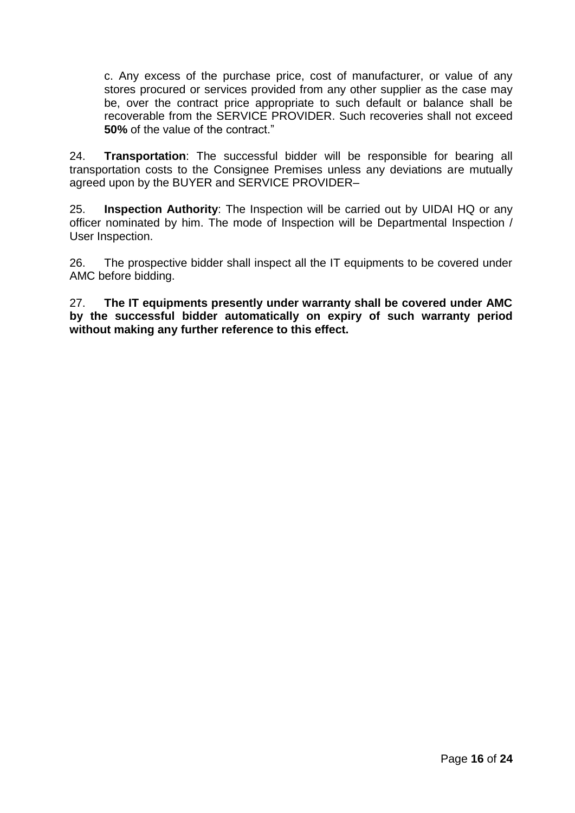c. Any excess of the purchase price, cost of manufacturer, or value of any stores procured or services provided from any other supplier as the case may be, over the contract price appropriate to such default or balance shall be recoverable from the SERVICE PROVIDER. Such recoveries shall not exceed **50%** of the value of the contract."

24. **Transportation**: The successful bidder will be responsible for bearing all transportation costs to the Consignee Premises unless any deviations are mutually agreed upon by the BUYER and SERVICE PROVIDER–

25. **Inspection Authority**: The Inspection will be carried out by UIDAI HQ or any officer nominated by him. The mode of Inspection will be Departmental Inspection / User Inspection.

26. The prospective bidder shall inspect all the IT equipments to be covered under AMC before bidding.

27. **The IT equipments presently under warranty shall be covered under AMC by the successful bidder automatically on expiry of such warranty period without making any further reference to this effect.**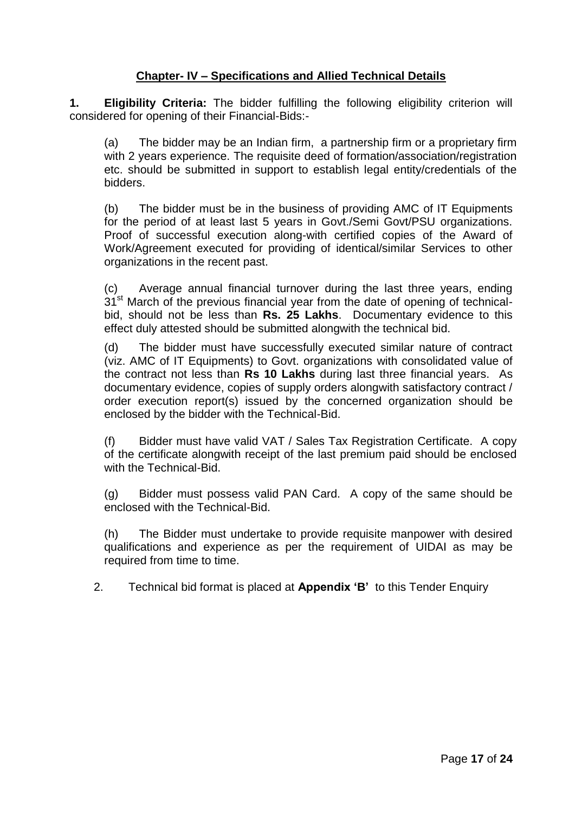## **Chapter- IV – Specifications and Allied Technical Details**

**1. Eligibility Criteria:** The bidder fulfilling the following eligibility criterion will considered for opening of their Financial-Bids:-

(a) The bidder may be an Indian firm, a partnership firm or a proprietary firm with 2 years experience. The requisite deed of formation/association/registration etc. should be submitted in support to establish legal entity/credentials of the bidders.

(b) The bidder must be in the business of providing AMC of IT Equipments for the period of at least last 5 years in Govt./Semi Govt/PSU organizations. Proof of successful execution along-with certified copies of the Award of Work/Agreement executed for providing of identical/similar Services to other organizations in the recent past.

(c) Average annual financial turnover during the last three years, ending  $31<sup>st</sup>$  March of the previous financial year from the date of opening of technicalbid, should not be less than **Rs. 25 Lakhs**. Documentary evidence to this effect duly attested should be submitted alongwith the technical bid.

(d) The bidder must have successfully executed similar nature of contract (viz. AMC of IT Equipments) to Govt. organizations with consolidated value of the contract not less than **Rs 10 Lakhs** during last three financial years. As documentary evidence, copies of supply orders alongwith satisfactory contract / order execution report(s) issued by the concerned organization should be enclosed by the bidder with the Technical-Bid.

(f) Bidder must have valid VAT / Sales Tax Registration Certificate. A copy of the certificate alongwith receipt of the last premium paid should be enclosed with the Technical-Bid.

(g) Bidder must possess valid PAN Card. A copy of the same should be enclosed with the Technical-Bid.

(h) The Bidder must undertake to provide requisite manpower with desired qualifications and experience as per the requirement of UIDAI as may be required from time to time.

2. Technical bid format is placed at **Appendix 'B'** to this Tender Enquiry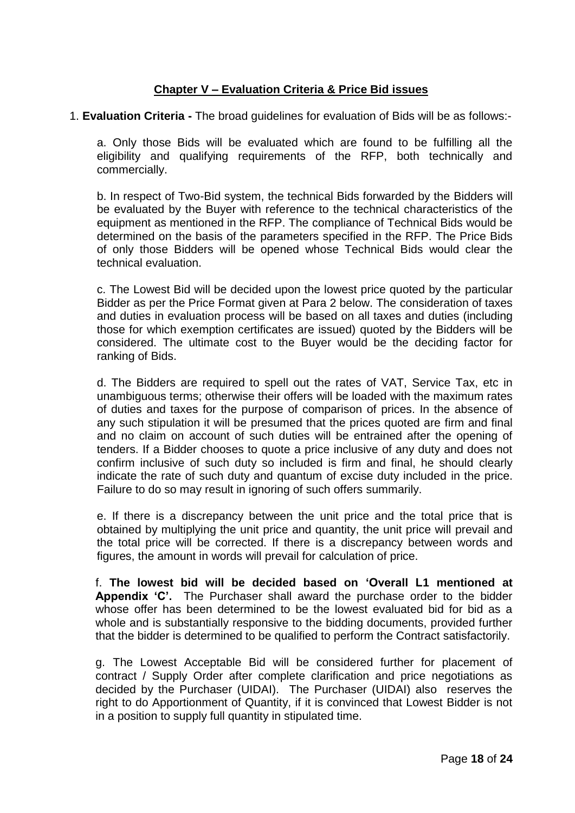### **Chapter V – Evaluation Criteria & Price Bid issues**

#### 1. **Evaluation Criteria -** The broad guidelines for evaluation of Bids will be as follows:-

a. Only those Bids will be evaluated which are found to be fulfilling all the eligibility and qualifying requirements of the RFP, both technically and commercially.

b. In respect of Two-Bid system, the technical Bids forwarded by the Bidders will be evaluated by the Buyer with reference to the technical characteristics of the equipment as mentioned in the RFP. The compliance of Technical Bids would be determined on the basis of the parameters specified in the RFP. The Price Bids of only those Bidders will be opened whose Technical Bids would clear the technical evaluation.

c. The Lowest Bid will be decided upon the lowest price quoted by the particular Bidder as per the Price Format given at Para 2 below. The consideration of taxes and duties in evaluation process will be based on all taxes and duties (including those for which exemption certificates are issued) quoted by the Bidders will be considered. The ultimate cost to the Buyer would be the deciding factor for ranking of Bids.

d. The Bidders are required to spell out the rates of VAT, Service Tax, etc in unambiguous terms; otherwise their offers will be loaded with the maximum rates of duties and taxes for the purpose of comparison of prices. In the absence of any such stipulation it will be presumed that the prices quoted are firm and final and no claim on account of such duties will be entrained after the opening of tenders. If a Bidder chooses to quote a price inclusive of any duty and does not confirm inclusive of such duty so included is firm and final, he should clearly indicate the rate of such duty and quantum of excise duty included in the price. Failure to do so may result in ignoring of such offers summarily.

e. If there is a discrepancy between the unit price and the total price that is obtained by multiplying the unit price and quantity, the unit price will prevail and the total price will be corrected. If there is a discrepancy between words and figures, the amount in words will prevail for calculation of price.

f. **The lowest bid will be decided based on 'Overall L1 mentioned at Appendix 'C'.** The Purchaser shall award the purchase order to the bidder whose offer has been determined to be the lowest evaluated bid for bid as a whole and is substantially responsive to the bidding documents, provided further that the bidder is determined to be qualified to perform the Contract satisfactorily.

g. The Lowest Acceptable Bid will be considered further for placement of contract / Supply Order after complete clarification and price negotiations as decided by the Purchaser (UIDAI). The Purchaser (UIDAI) also reserves the right to do Apportionment of Quantity, if it is convinced that Lowest Bidder is not in a position to supply full quantity in stipulated time.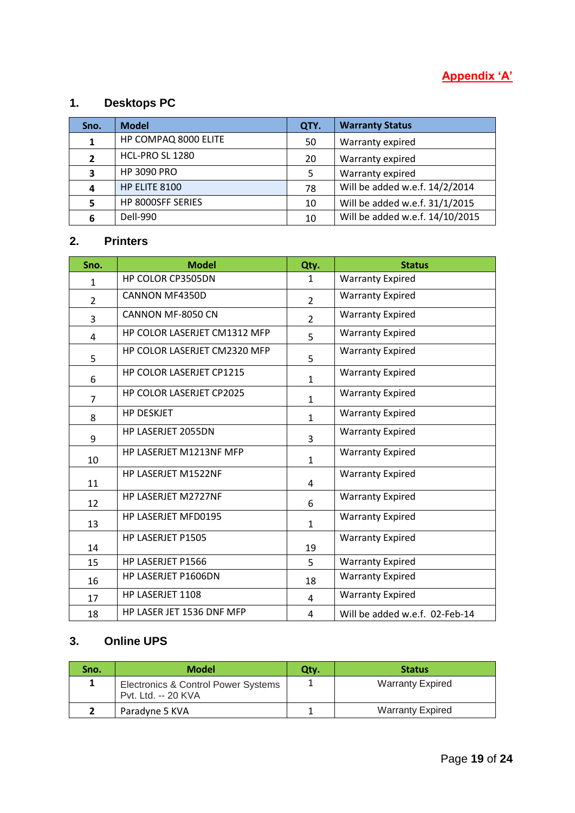# **Appendix 'A'**

# **1. Desktops PC**

| Sno.         | <b>Model</b>         | QTY. | <b>Warranty Status</b>          |
|--------------|----------------------|------|---------------------------------|
|              | HP COMPAQ 8000 ELITE | 50   | Warranty expired                |
| $\mathbf{2}$ | HCL-PRO SL 1280      | 20   | Warranty expired                |
| 3            | <b>HP 3090 PRO</b>   | 5    | Warranty expired                |
| 4            | HP ELITE 8100        | 78   | Will be added w.e.f. 14/2/2014  |
|              | HP 8000SFF SERIES    | 10   | Will be added w.e.f. 31/1/2015  |
| 6            | Dell-990             | 10   | Will be added w.e.f. 14/10/2015 |

## **2. Printers**

| Sno.           | <b>Model</b>                 | Qty.           | <b>Status</b>                  |
|----------------|------------------------------|----------------|--------------------------------|
| 1              | HP COLOR CP3505DN            | $\mathbf{1}$   | <b>Warranty Expired</b>        |
| $\overline{2}$ | CANNON MF4350D               | $\overline{2}$ | <b>Warranty Expired</b>        |
| 3              | CANNON MF-8050 CN            | $\overline{2}$ | <b>Warranty Expired</b>        |
| 4              | HP COLOR LASERJET CM1312 MFP | 5              | <b>Warranty Expired</b>        |
| 5              | HP COLOR LASERJET CM2320 MFP | 5              | <b>Warranty Expired</b>        |
| 6              | HP COLOR LASERJET CP1215     | $\mathbf{1}$   | <b>Warranty Expired</b>        |
| $\overline{7}$ | HP COLOR LASERJET CP2025     | $\mathbf{1}$   | <b>Warranty Expired</b>        |
| 8              | <b>HP DESKJET</b>            | $\mathbf{1}$   | <b>Warranty Expired</b>        |
| 9              | HP LASERJET 2055DN           | 3              | <b>Warranty Expired</b>        |
| 10             | HP LASERJET M1213NF MFP      | $\mathbf{1}$   | <b>Warranty Expired</b>        |
| 11             | HP LASERJET M1522NF          | 4              | <b>Warranty Expired</b>        |
| 12             | <b>HP LASERJET M2727NF</b>   | 6              | <b>Warranty Expired</b>        |
| 13             | <b>HP LASERJET MFD0195</b>   | $\mathbf{1}$   | <b>Warranty Expired</b>        |
| 14             | HP LASERJET P1505            | 19             | <b>Warranty Expired</b>        |
| 15             | HP LASERJET P1566            | 5              | <b>Warranty Expired</b>        |
| 16             | HP LASERJET P1606DN          | 18             | <b>Warranty Expired</b>        |
| 17             | HP LASERJET 1108             | 4              | <b>Warranty Expired</b>        |
| 18             | HP LASER JET 1536 DNF MFP    | 4              | Will be added w.e.f. 02-Feb-14 |

## **3. Online UPS**

| Sno. | <b>Model</b>                                               | Qty. | <b>Status</b>           |
|------|------------------------------------------------------------|------|-------------------------|
|      | Electronics & Control Power Systems<br>Pvt. Ltd. -- 20 KVA |      | <b>Warranty Expired</b> |
|      | Paradyne 5 KVA                                             |      | <b>Warranty Expired</b> |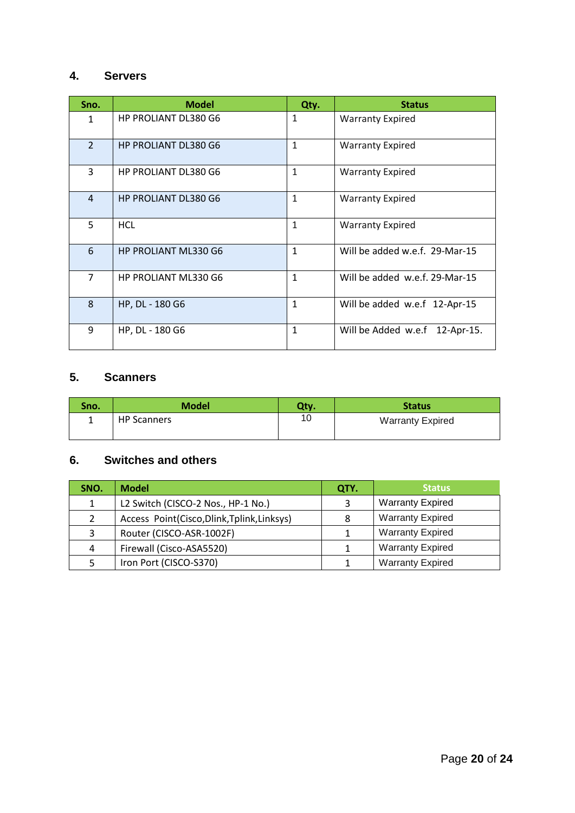## **4. Servers**

| Sno.           | <b>Model</b>                | Qty.         | <b>Status</b>                  |
|----------------|-----------------------------|--------------|--------------------------------|
| 1              | <b>HP PROLIANT DL380 G6</b> | 1            | <b>Warranty Expired</b>        |
| $\overline{2}$ | <b>HP PROLIANT DL380 G6</b> | 1            | <b>Warranty Expired</b>        |
| 3              | <b>HP PROLIANT DL380 G6</b> | 1            | <b>Warranty Expired</b>        |
| $\overline{4}$ | <b>HP PROLIANT DL380 G6</b> | 1            | <b>Warranty Expired</b>        |
| 5              | <b>HCL</b>                  | 1            | <b>Warranty Expired</b>        |
| 6              | <b>HP PROLIANT ML330 G6</b> | $\mathbf{1}$ | Will be added w.e.f. 29-Mar-15 |
| $\overline{7}$ | HP PROLIANT ML330 G6        | 1            | Will be added w.e.f. 29-Mar-15 |
| 8              | HP, DL - 180 G6             | 1            | Will be added w.e.f 12-Apr-15  |
| 9              | HP, DL - 180 G6             | 1            | Will be Added w.e.f 12-Apr-15. |

## **5. Scanners**

| Sno. | <b>Model</b>       | Qty. | <b>Status</b>           |
|------|--------------------|------|-------------------------|
|      | <b>HP Scanners</b> |      | <b>Warranty Expired</b> |

## **6. Switches and others**

| SNO. | <b>Model</b>                             | QTY. | <b>Status</b>           |
|------|------------------------------------------|------|-------------------------|
|      | L2 Switch (CISCO-2 Nos., HP-1 No.)       |      | <b>Warranty Expired</b> |
|      | Access Point(Cisco,Dlink,Tplink,Linksys) | 8    | <b>Warranty Expired</b> |
|      | Router (CISCO-ASR-1002F)                 |      | <b>Warranty Expired</b> |
| 4    | Firewall (Cisco-ASA5520)                 |      | <b>Warranty Expired</b> |
|      | Iron Port (CISCO-S370)                   |      | <b>Warranty Expired</b> |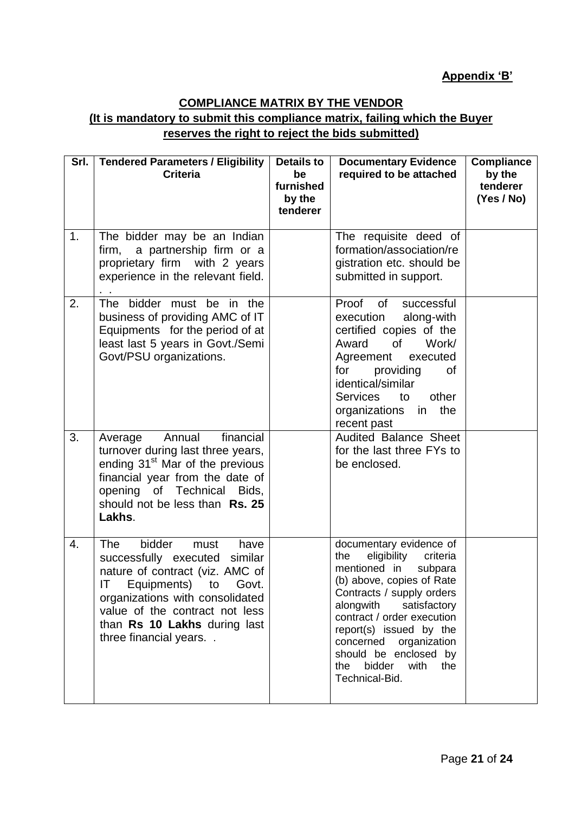# **COMPLIANCE MATRIX BY THE VENDOR**

## **(It is mandatory to submit this compliance matrix, failing which the Buyer reserves the right to reject the bids submitted)**

|    | Srl.   Tendered Parameters / Eligibility<br><b>Criteria</b>                                                                                                                                                                                                | <b>Details to</b><br>be<br>furnished<br>by the<br>tenderer | <b>Documentary Evidence</b><br>required to be attached                                                                                                                                                                                                                                                                                                                                                                                                                                  | Compliance<br>by the<br>tenderer<br>(Yes / No) |
|----|------------------------------------------------------------------------------------------------------------------------------------------------------------------------------------------------------------------------------------------------------------|------------------------------------------------------------|-----------------------------------------------------------------------------------------------------------------------------------------------------------------------------------------------------------------------------------------------------------------------------------------------------------------------------------------------------------------------------------------------------------------------------------------------------------------------------------------|------------------------------------------------|
| 1. | The bidder may be an Indian<br>firm, a partnership firm or a<br>proprietary firm with 2 years<br>experience in the relevant field.                                                                                                                         |                                                            | The requisite deed of<br>formation/association/re<br>gistration etc. should be<br>submitted in support.                                                                                                                                                                                                                                                                                                                                                                                 |                                                |
| 2. | The bidder must be in the<br>business of providing AMC of IT<br>Equipments for the period of at<br>least last 5 years in Govt./Semi<br>Govt/PSU organizations.                                                                                             |                                                            | Proof of<br>successful<br>along-with<br>execution<br>certified copies of the<br>Work/<br>Award<br>of the contract of the contract of the contract of the contract of the contract of the contract of the contract of the contract of the contract of the contract of the contract of the contract of the contract of the contrac<br>Agreement<br>executed<br>for<br>providing<br>0f<br>identical/similar<br>other<br><b>Services</b><br>to<br>organizations<br>the<br>in<br>recent past |                                                |
| 3. | financial<br>Annual<br>Average<br>turnover during last three years,<br>ending 31 <sup>st</sup> Mar of the previous<br>financial year from the date of<br>opening of Technical<br>Bids,<br>should not be less than Rs. 25<br>Lakhs.                         |                                                            | <b>Audited Balance Sheet</b><br>for the last three FYs to<br>be enclosed.                                                                                                                                                                                                                                                                                                                                                                                                               |                                                |
| 4. | bidder<br>The<br>must<br>have<br>successfully executed similar<br>nature of contract (viz. AMC of<br>IT Equipments) to Govt.<br>organizations with consolidated<br>value of the contract not less<br>than Rs 10 Lakhs during last<br>three financial years |                                                            | documentary evidence of<br>eligibility<br>the<br>criteria<br>mentioned in<br>subpara<br>(b) above, copies of Rate<br>Contracts / supply orders<br>alongwith<br>satisfactory<br>contract / order execution<br>report(s) issued by the<br>concerned<br>organization<br>should be enclosed by<br>bidder<br>with<br>the<br>the<br>Technical-Bid.                                                                                                                                            |                                                |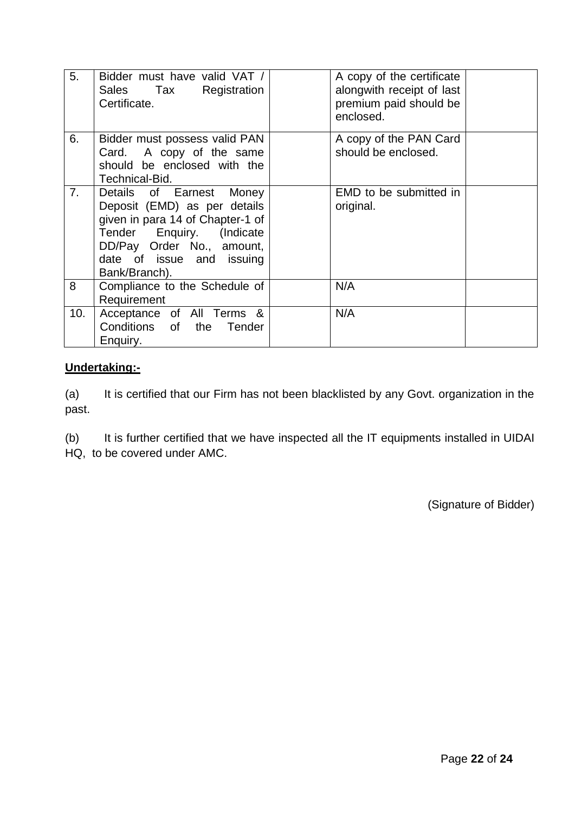| 5.  | Bidder must have valid VAT /<br>Sales Tax Registration<br>Certificate.                                                                                                                               | A copy of the certificate<br>alongwith receipt of last<br>premium paid should be<br>enclosed. |  |
|-----|------------------------------------------------------------------------------------------------------------------------------------------------------------------------------------------------------|-----------------------------------------------------------------------------------------------|--|
| 6.  | Bidder must possess valid PAN<br>Card. A copy of the same<br>should be enclosed with the<br>Technical-Bid.                                                                                           | A copy of the PAN Card<br>should be enclosed.                                                 |  |
| 7.  | Details of Earnest Money<br>Deposit (EMD) as per details<br>given in para 14 of Chapter-1 of<br>Tender Enquiry. (Indicate<br>DD/Pay Order No., amount,<br>date of issue and issuing<br>Bank/Branch). | EMD to be submitted in<br>original.                                                           |  |
| 8   | Compliance to the Schedule of<br>Requirement                                                                                                                                                         | N/A                                                                                           |  |
| 10. | Acceptance of All Terms &<br>Conditions of the Tender<br>Enquiry.                                                                                                                                    | N/A                                                                                           |  |

## **Undertaking:-**

(a) It is certified that our Firm has not been blacklisted by any Govt. organization in the past.

(b) It is further certified that we have inspected all the IT equipments installed in UIDAI HQ, to be covered under AMC.

(Signature of Bidder)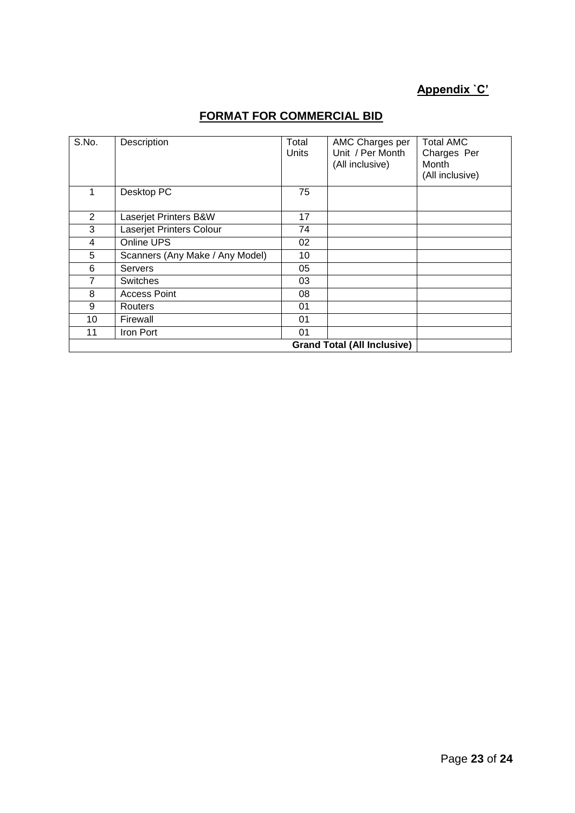# **Appendix `C'**

| S.No.          | Description                     | Total<br>Units | AMC Charges per<br>Unit / Per Month<br>(All inclusive) | <b>Total AMC</b><br>Charges Per<br>Month<br>(All inclusive) |
|----------------|---------------------------------|----------------|--------------------------------------------------------|-------------------------------------------------------------|
|                | Desktop PC                      | 75             |                                                        |                                                             |
| $\overline{2}$ | Laserjet Printers B&W           | 17             |                                                        |                                                             |
| 3              | Laserjet Printers Colour        | 74             |                                                        |                                                             |
| 4              | Online UPS                      | 02             |                                                        |                                                             |
| 5              | Scanners (Any Make / Any Model) | 10             |                                                        |                                                             |
| 6              | <b>Servers</b>                  | 05             |                                                        |                                                             |
| 7              | <b>Switches</b>                 | 03             |                                                        |                                                             |
| 8              | <b>Access Point</b>             | 08             |                                                        |                                                             |
| 9              | Routers                         | 01             |                                                        |                                                             |
| 10             | Firewall                        | 01             |                                                        |                                                             |
| 11             | Iron Port                       | 01             |                                                        |                                                             |
|                |                                 |                | <b>Grand Total (All Inclusive)</b>                     |                                                             |